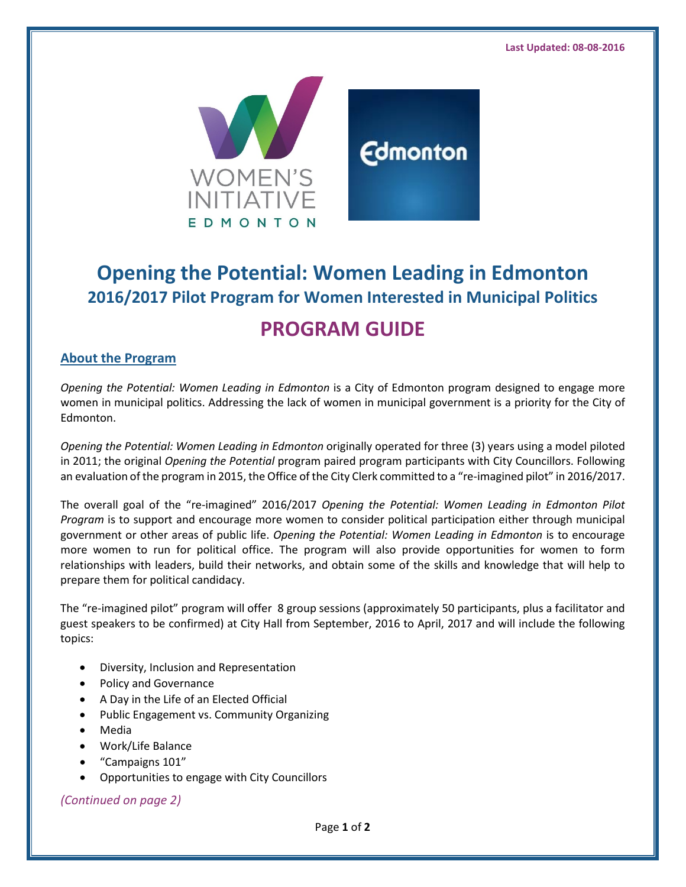

# **Opening the Potential: Women Leading in Edmonton 2016/2017 Pilot Program for Women Interested in Municipal Politics PROGRAM GUIDE**

# **About the Program**

*Opening the Potential: Women Leading in Edmonton* is a City of Edmonton program designed to engage more women in municipal politics. Addressing the lack of women in municipal government is a priority for the City of Edmonton.

*Opening the Potential: Women Leading in Edmonton* originally operated for three (3) years using a model piloted in 2011; the original *Opening the Potential* program paired program participants with City Councillors. Following an evaluation of the program in 2015, the Office of the City Clerk committed to a "re-imagined pilot" in 2016/2017.

The overall goal of the "re-imagined" 2016/2017 *Opening the Potential: Women Leading in Edmonton Pilot Program* is to support and encourage more women to consider political participation either through municipal government or other areas of public life. *Opening the Potential: Women Leading in Edmonton* is to encourage more women to run for political office. The program will also provide opportunities for women to form relationships with leaders, build their networks, and obtain some of the skills and knowledge that will help to prepare them for political candidacy.

The "re-imagined pilot" program will offer 8 group sessions (approximately 50 participants, plus a facilitator and guest speakers to be confirmed) at City Hall from September, 2016 to April, 2017 and will include the following topics:

- Diversity, Inclusion and Representation
- Policy and Governance
- A Day in the Life of an Elected Official
- Public Engagement vs. Community Organizing
- Media
- Work/Life Balance
- "Campaigns 101"
- Opportunities to engage with City Councillors

*(Continued on page 2)*